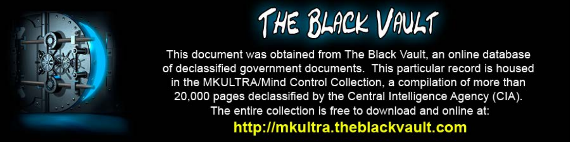

This document was obtained from The Black Vault, an online database of declassified government documents. This particular record is housed in the MKULTRA/Mind Control Collection, a compilation of more than 20,000 pages declassified by the Central Intelligence Agency (CIA). The entire collection is free to download and online at: http://mkultra.theblackvault.com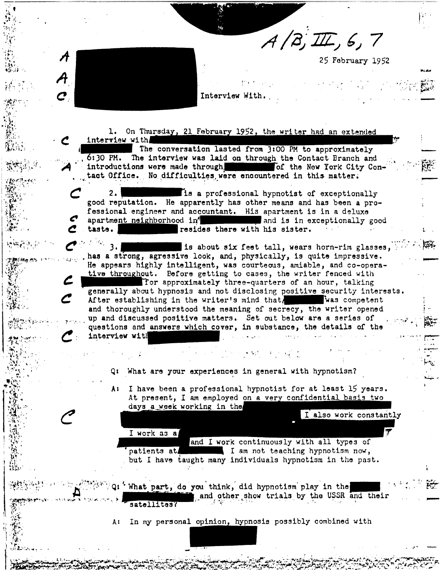$A/B, \mathcal{I\!I\!I}$ , 6, 7

25 February 1952

......

 $\mathcal{C}^{\mathcal{C}}=\mathbb{R}^{n-1}$ ان<br>-<br>-

<sup>~</sup>.

-

*A*  **A**  *a*  **·C**  1. On Thursday, 21 February 1952, the writer had an extended Interview With.

 $\mathcal{L}$  is the set of  $\mathcal{L}$  $j \neq j'$  :  $\mathbf{M}$  : **t-fi ... ;;** •',

**A** 

*e'* 

e

! .. **Jo'** '

interview with<br>The conversation lasted from 3:00 PM to approximately 6: 30 PM. The interview was laid on through the Contact Branch and introductions were made through. tact Office. No difficulties were encountered in this matter. . .

exceptionally a professional hypnotist of exceptionally good reputation. He apparently has other means and has been a professional engineer and accountant. His apartment is in a deluxe apartment neighborhood  $in^4$  and is in exceptionally good G apartment neighborhood in  $\blacksquare$  and is in exceptionally good taste.

**3.** Is about six feet tall, wears horn-rim glasses, has a strong, agressive look, and, physically, is quite impressive. He appears highly intelligent, was courteous, amiable, and co-opera-<br>tive throughout. Eefore getting to cases, the writer fenced with<br>Tor approximately three-quarters of an hour, talking<br>generally about hypnosis and not di After establishing in the writer's mind that. and thoroughly understood the meaning of secrecy, the writer opened up and discussed positive matters. Set out below are a series of questions and answers which cover, in substance, the details of the interview with

Q: What are your experiences in general with hypnotism?

A: I have been a professional hypnotist for at least 15 years. At present, I am employed on a very confidential basis two days a week working in the

 $\mathcal{F}$ ,  $\mathcal{F}$ 

I also work constantly

I work as a and I work continuously with all types of I am not teaching hypnotism now, patients at but I have taught many individuals hypnotism in the past.

 $\mathcal{L}^{(1,1,1)}$ : What part, do you think, did hypnotism play in the  $\mathcal{L}^{(1,1,1,1)}$ and other show trials by the USSR and their •,1.;\ ~ ..... T **l,"** \ ',\;~, .·',""" *,,* <sup>~</sup> satellites?

A: In my personal opinion, hypnosis possibly combined with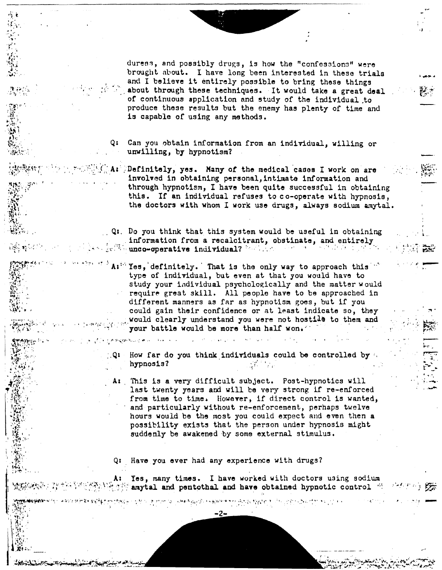duress, and possibly drugs, is how the "confessions" were brought about. I have long been interested in these trials and I believe it entirely possible to bring these things about through these techniques. It would take a great deal of continuous application and study of the individual to produce these results but the enemy has plenty of time and is capable of using any methods.

Can you obtain information from an individual, willing or unwilling, by hypnotism?

: Definitely, yes. Many of the medical cases I work on are involved in obtaining personal, intimate information and through hypnotism, I have been quite successful in obtaining this. If an individual refuses to co-operate with hypnosis, the doctors with whom I work use drugs, always sodium amytal.

Q: Do you think that this system would be useful in obtaining information from a recalcitrant, obstinate, and entirely We unco-operative individual? We have the

A:" Yes, definitely. That is the only way to approach this type of individual, but even at that you would have to study your individual psychologically and the matter would require great skill. All people have to be approached in different manners as far as hypnotism goes, but if you could gain their confidence or at least indicate so, they would clearly understand you were not hostile to them and your battle would be more than half won.

How far do you think individuals could be controlled by hypnosis?

A: This is a very difficult subject. Post-hypnotics will last twenty years and will be very strong if re-enforced from time to time. However, if direct control is wanted, and particularly without re-enforcement, perhaps twelve hours would be the most you could expect and even then a possibility exists that the person under hypnosis might suddenly be awakened by some external stimulus.

Q: Have you ever had any experience with drugs?

 $-2-$ 

 $\phi = \phi + \psi + \psi_{\rm{H}} + \phi_{\rm{c}} + \psi_{\rm{c}} + \psi_{\rm{c}}$ 

Yes, many times. I have worked with doctors using sodium A : The anytal and pentothal and have obtained hypnotic control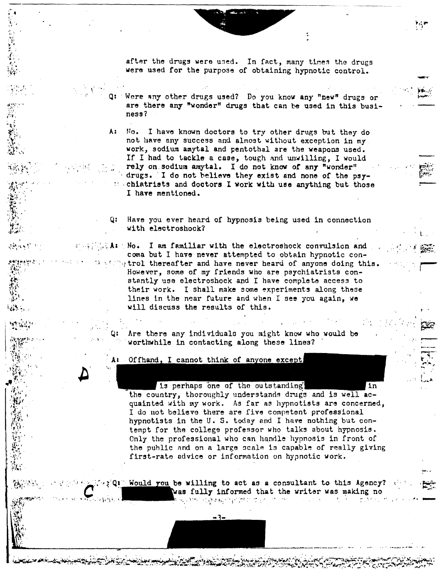after the drugs were used. In fact, many times the drugs were used for the purpose of obtaining hypnotic control.

Were any other drugs used? Do you know any "new" drugs or are there any "wonder" drugs that can be used in this business?

A: No. I have known doctors to try other drugs but they do not have any success and almost without exception in my work, sodium amytal and pentothal are the weapons used. If I had to tackle a case, tough and unwilling, I would rely on sodium amytal. I do not know of any "wonder" drugs. I do not believe they exist and none of the psychiatrists and doctors I work with use anything but those I have mentioned.

Have you ever heard of hypnosis being used in connection with electroshock?

A: No. I am familiar with the electroshock convulsion and coma but I have never attempted to obtain hypnotic control thereafter and have never heard of anyone doing this. However, some of my friends who are psychiatrists constantly use electroshock and I have complete access to their work. I shall make some experiments along these lines in the near future and when I see you again, we will discuss the results of this.

Are there any individuals you might know who would be worthwhile in contacting along these lines?

Offhand, I cannot think of anyone except

is perhaps one of the outstanding

the country, thoroughly understands drugs and is well acquainted with my work. As far as hypnotists are concerned, I do not believe there are five competent professional hypnotists in the U.S. today and I have nothing but contempt for the college professor who talks about hypnosis. Only the professional who can handle hypnosis in front of the public and on a large scale is capable of really giving first-rate advice or information on hypnotic work.

 $^{\dagger}$ in

: Q: Would you be willing to act as a consultant to this Agency? was fully informed that the writer was making no 经调整 医触动脉的 医神经性贫血 计自动  $\mathcal{L}^{\mathcal{L}}$  and  $\mathcal{L}^{\mathcal{L}}$  and  $\mathcal{L}^{\mathcal{L}}$  and  $\mathcal{L}^{\mathcal{L}}$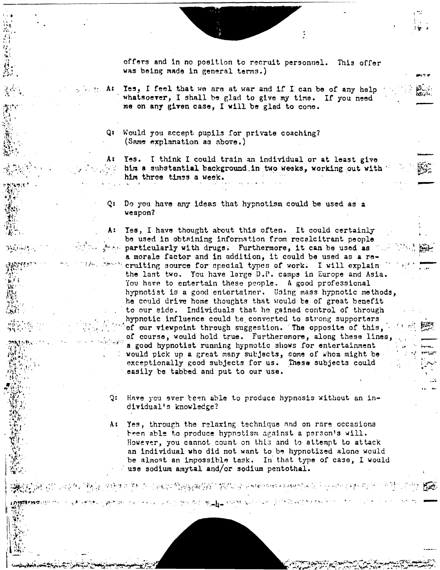offers and in no position to recruit personnel. This offer was being made in general terms.)

- At Yes, I feel that we are at war and if I can be of any help whatsoever, I shall be glad to give my time. If you need me on any given case, I will be glad to cone.
- Q1 Would you accept pupils for private coaching? (Same explanation as above.)

 $A<sub>z</sub>$ Yes. I think I could train an individual or at least give him a substantial background in two weeks, working out with him three times a week.

Do you have any ideas that hypnotism could be used as a weapon?

A: Tes, I have thought about this often. It could certainly be used in obtaining information from recelcitrant people So particularly with drugs. Furthermore, it can be used as a morale factor and in addition. it could be used as a re-" cruiting source for special types of work. I will explain the last two. You have large D.P. camps in Europe and Asia. You have to entertain these people. A good professional hypnotist is a good entertainer. Using mass hypnotic methods. he could drive home thoughts that would be of great benefit to our side. Individuals that he gained control of through hypnotic influence could be converted to strong supporters of our viewpoint through suggestion. The opposite of this, of course, would hold true. Furtheremore, along these lines, a good hypnotist running hypnotic shows for entertainment would pick up a great many subjects, some of whom might be exceptionally good subjects for us. These subjects could easily be tabbed and put to our use.

 $\mathbf{C}$  : Have you ever been able to produce hypnosis without an individual's knowledge?

A: Yes, through the relaxing technique and on rare occasions been able to produce hypnotism against a person's will. However, you cannot count on this and to attempt to attack an individual who did not want to be hypnotized alone would be almost an impossible task. In that type of case, I would use sodium amytal and/or sodium pentothal.

of physical Effect game field of That would be received the community of the logical strict process

 $\mathcal{P}_{\mathcal{C}}(\mathcal{C},\mathcal{C})=\mathcal{P}_{\mathcal{C}}=\sum_{i=1}^n\sum_{j=1}^n\sum_{j=1}^n\sum_{j=1}^n\sum_{j=1}^n\sum_{j=1}^n\sum_{j=1}^n\sum_{j=1}^n\sum_{j=1}^n\sum_{j=1}^n\sum_{j=1}^n\sum_{j=1}^n\sum_{j=1}^n\sum_{j=1}^n\sum_{j=1}^n\sum_{j=1}^n\sum_{j=1}^n\sum_{j=1}^n\sum_{j=1}^n\sum_{j=1}^n\sum_{j$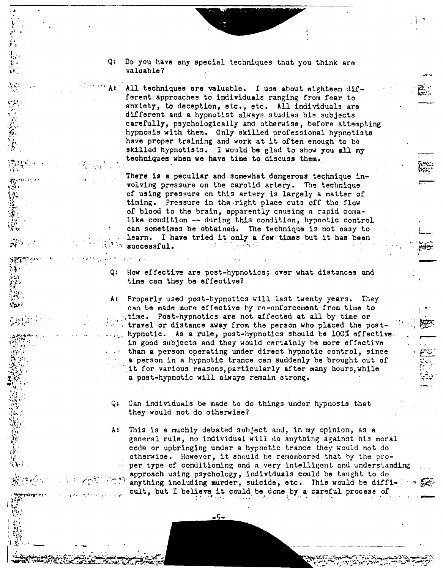- Q: Do you have any special techniques that you think are valuable?
	- All techniques are valuable. I use about eighteen different approaches to individuals ranging from fear to anxiety, to deception, etc., etc. All individuals are different and a hypnotist always studies his subjects carefully, psychologically and otherwise, before attempting hypnosis with them. Only skilled professional hypnotists have proper training and work at it often enough to be skilled hypnotists. I would be glad to show you all my techniques when we have time to discuss them.

There is a peculiar and somewhat dangerous technique involving pressure on the carotid artery. The technique of using pressure on this artery is largely a matter of timing. Pressure in the right place cuts off the flow of blood to the brain, apparently causing a rapid comalike condition -- during this condition, hypnotic control can sometimes be obtained. The technique is not easy to learn. I have tried it only a few times but it has been successful.

 $\mathsf{Q}:$ How effective are post-hypnotics; over what distances and time can they be effective?

A t Properly used post-hypnotics will last twenty years. They can be made more effective by re-enforcement from time to time. Post-hypnotics are not affected at all by time or travel or distance away from the person who placed the posthypnotic. As a rule, post-hypnotics should be 100% effective. in good subjects and they would certainly be more effective than a person operating under direct hypnotic control, since a person in a hypnotic trance can suddenly be brought out of it for various reasons, particularly after many hours, while a post-hypnotic will always remain strong.

- Q: Can individuals be made to do things under hypnosis that they would not do otherwise?
- This is a muchly debated subject and, in my opinion, as a  $A:$ general rule, no individual will do anything against his moral code or upbringing under a hypnotic trance they would not do otherwise. However, it should be remembered that by the proper type of conditioning and a very intelligent and understanding approach using psychology, individuals could be taught to do anything including murder, suicide, etc. This would be difficult, but I believe it could be done by a careful process of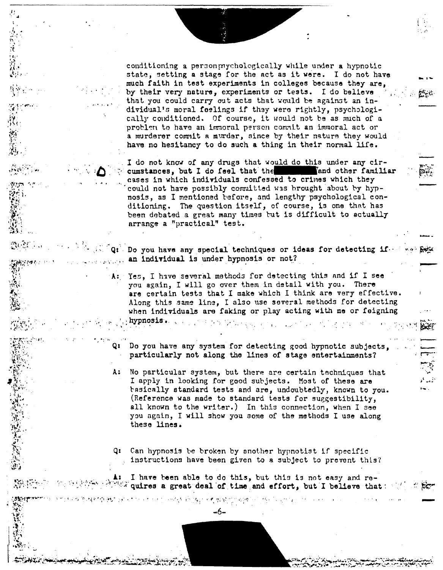conditioning a person prychologically while under a hypnotic state, setting a stage for the act as it were. I do not have much faith in test experiments in colleges because they are. by their very nature, experiments or tests. I do believe that you could carry out acts that would be against an individual's moral feelings if they were rightly, psychologically conditioned. Of course, it would not be as much of a problem to have an immoral person commit an immoral act or a murderer commit a murder, since by their nature they would have no hesitancy to do such a thing in their normal life.

I do not know of any drugs that would do this under any circumstances, but I do feel that the same and other familiar cases in which individuals confessed to crimes which they could not have possibly committed was brought about by hypnosis, as I mentioned before, and lengthy psychological conditioning. The question itself, of course, is one that has been debated a great many times but is difficult to actually arrange a "practical" test.

Q: Do you have any special techniques or ideas for detecting if  $\sim$ an individual is under hypnosis or not?

- A: Yes, I have several methods for detecting this and if I see you again, I will go over them in detail with you. There are certain tests that I make which I think are very effective. Along this same line, I also use several methods for detecting when individuals are faking or play acting with me or feigning hypnosis.
- Do you have any system for detecting good hypnotic subjects, particularly not along the lines of stage entertainments?

**一个法在的身份, 2007** 

No particular system, but there are certain techniques that  $A:$ I apply in looking for good subjects. Most of these are hasically standard tests and are, undoubtedly, known to you. (Reference was made to standard tests for suggestibility, all known to the writer.) In this connection, when I see you again, I will show you some of the methods I use along these lines.

Q: Can hypnosis be broken by another hypnotist if specific instructions have been given to a subject to prevent this?  $\Delta$ 

I have been able to do this, but this is not easy and re- $\mathbb{S}^{\mathbb{Z}}$  quires a great deal of time and effort, but I believe that:

-6-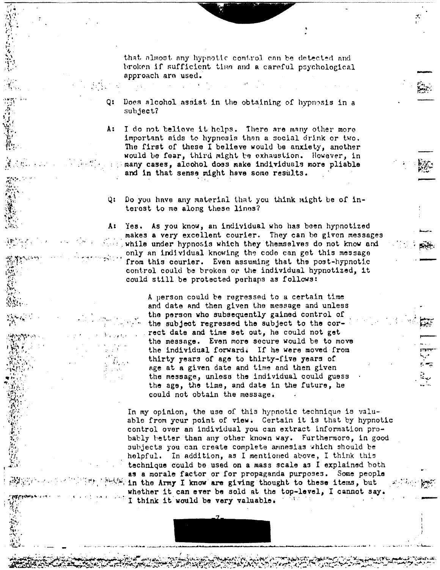that almost any hypnotic control can be detected and broken if sufficient time and a careful psychological approach are used.

- Does alcohol assist in the obtaining of hypnosis in a subject?
- I do not believe it helps. There are many other more  $A:$ important aids to hypnosis than a social drink or two. The first of these I believe would be anxiety, another would be fear, third might be exhaustion. However, in many cases, alcohol does make individuals more pliable and in that sense might have some results.
- $Q$ : Do you have any material that you think might be of interest to me along these lines?
- A: Yes. As you know, an individual who has been hypnotized makes a very excellent courier. They can be given messages while under hypnosis which they themselves do not know and only an individual knowing the code can get this message from this courier. Even assuming that the post-hypnotic control could be broken or the individual hypnotized, it could still be protected perhaps as follows:

A person could be regressed to a certain time and date and then given the message and unless the person who subsequently gained control of the subject regressed the subject to the correct date and time set out, he could not get the message. Even more secure would be to move the individual forward. If he were moved from thirty years of age to thirty-five years of age at a given date and time and then given the message, unless the individual could guess the age, the time, and date in the future, he could not obtain the message.

In my opinion, the use of this hypnotic technique is valuable from your point of view. Certain it is that by hypnotic control over an individual you can extract information probably better than any other known way. Furthermore, in good subjects you can create complete amnesias which should be helpful. In addition, as I mentioned above, I think this technique could be used on a mass scale as I explained both as a morale factor or for propaganda purposes. Some people in the Army I know are giving thought to these items, but whether it can ever be sold at the top-level, I cannot say. I think it would be very valuable.